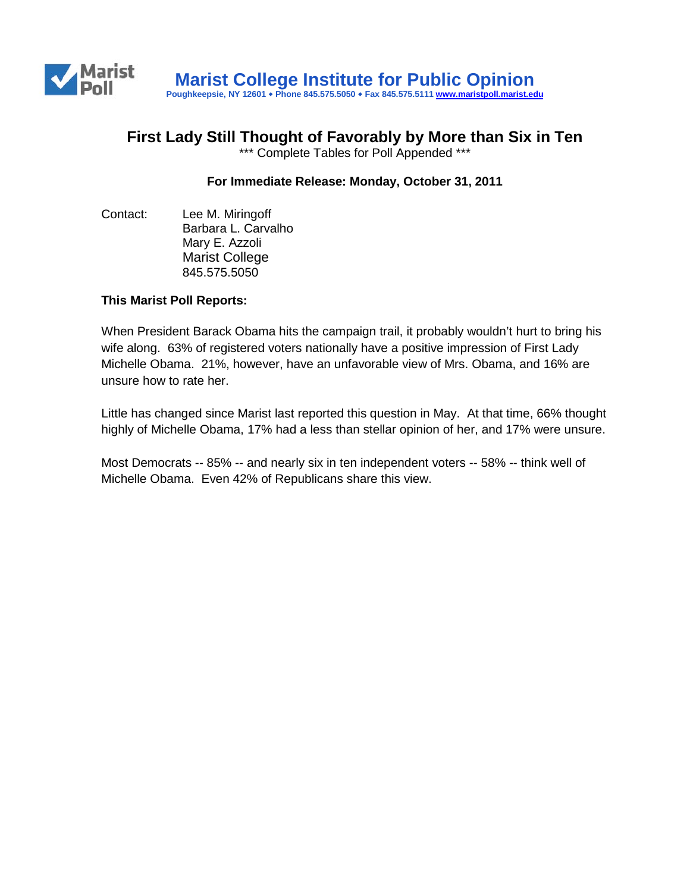

## **First Lady Still Thought of Favorably by More than Six in Ten**

\*\*\* Complete Tables for Poll Appended \*\*\*

## **For Immediate Release: Monday, October 31, 2011**

Contact: Lee M. Miringoff Barbara L. Carvalho Mary E. Azzoli Marist College 845.575.5050

## **This Marist Poll Reports:**

When President Barack Obama hits the campaign trail, it probably wouldn't hurt to bring his wife along. 63% of registered voters nationally have a positive impression of First Lady Michelle Obama. 21%, however, have an unfavorable view of Mrs. Obama, and 16% are unsure how to rate her.

Little has changed since Marist last reported this question in May. At that time, 66% thought highly of Michelle Obama, 17% had a less than stellar opinion of her, and 17% were unsure.

Most Democrats -- 85% -- and nearly six in ten independent voters -- 58% -- think well of Michelle Obama. Even 42% of Republicans share this view.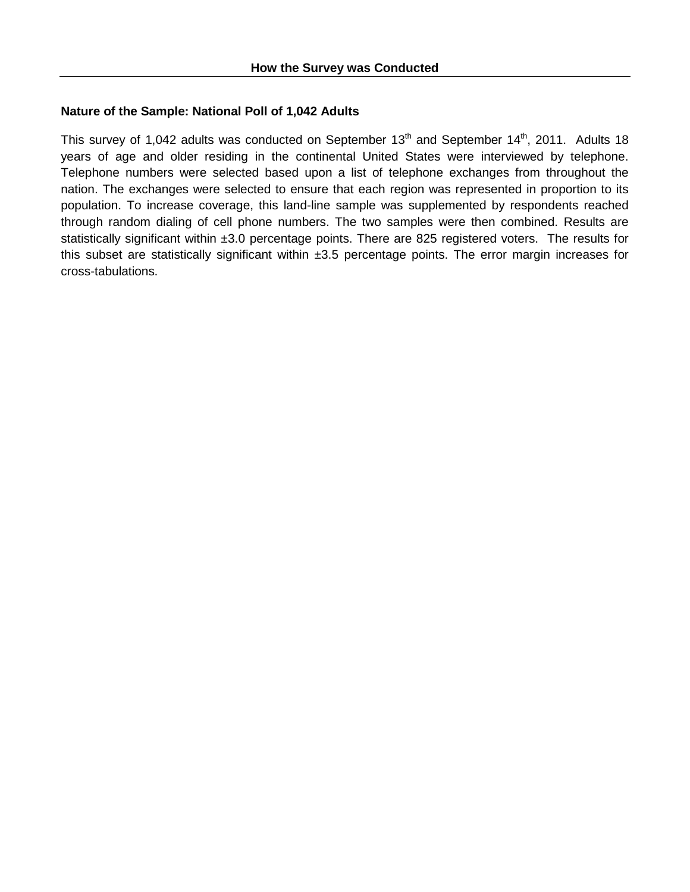## **Nature of the Sample: National Poll of 1,042 Adults**

This survey of 1,042 adults was conducted on September  $13<sup>th</sup>$  and September  $14<sup>th</sup>$ , 2011. Adults 18 years of age and older residing in the continental United States were interviewed by telephone. Telephone numbers were selected based upon a list of telephone exchanges from throughout the nation. The exchanges were selected to ensure that each region was represented in proportion to its population. To increase coverage, this land-line sample was supplemented by respondents reached through random dialing of cell phone numbers. The two samples were then combined. Results are statistically significant within ±3.0 percentage points. There are 825 registered voters. The results for this subset are statistically significant within ±3.5 percentage points. The error margin increases for cross-tabulations.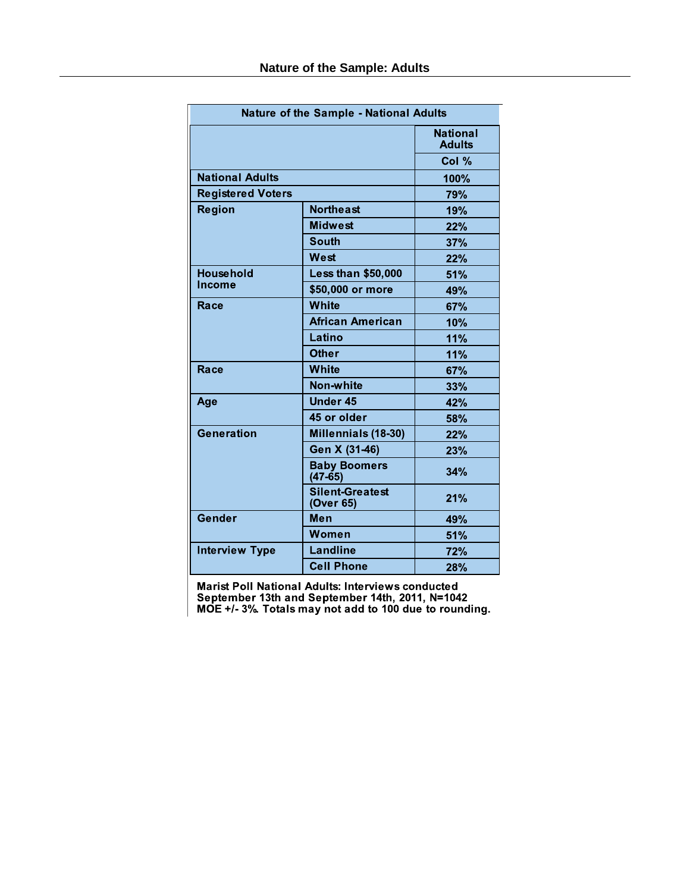| <b>Nature of the Sample - National Adults</b> |                                     |                                  |  |  |
|-----------------------------------------------|-------------------------------------|----------------------------------|--|--|
|                                               |                                     | <b>National</b><br><b>Adults</b> |  |  |
|                                               | Col %                               |                                  |  |  |
| <b>National Adults</b>                        | 100%                                |                                  |  |  |
| <b>Registered Voters</b>                      | <b>79%</b>                          |                                  |  |  |
| <b>Region</b>                                 | <b>Northeast</b>                    | 19%                              |  |  |
|                                               | <b>Midwest</b>                      | 22%                              |  |  |
|                                               | <b>South</b>                        | 37%                              |  |  |
|                                               | West                                | 22%                              |  |  |
| <b>Household</b><br><b>Income</b>             | <b>Less than \$50,000</b>           | 51%                              |  |  |
|                                               | \$50,000 or more                    | 49%                              |  |  |
| Race                                          | White                               | 67%                              |  |  |
|                                               | <b>African American</b>             | 10%                              |  |  |
|                                               | Latino                              | 11%                              |  |  |
|                                               | <b>Other</b>                        | 11%                              |  |  |
| Race                                          | White                               | 67%                              |  |  |
|                                               | Non-white                           | 33%                              |  |  |
| Age                                           | <b>Under 45</b>                     | 42%                              |  |  |
|                                               | 45 or older                         | 58%                              |  |  |
| Generation                                    | Millennials (18-30)                 | 22%                              |  |  |
|                                               | Gen X (31-46)                       | 23%                              |  |  |
|                                               | <b>Baby Boomers</b><br>$(47-65)$    | 34%                              |  |  |
|                                               | <b>Silent-Greatest</b><br>(Over 65) | 21%                              |  |  |
| Gender                                        | Men                                 | 49%                              |  |  |
|                                               | Women                               | 51%                              |  |  |
| <b>Interview Type</b>                         | <b>Landline</b>                     | 72%                              |  |  |
|                                               | <b>Cell Phone</b>                   | <b>28%</b>                       |  |  |

Marist Poll National Adults: Interviews conducted<br>September 13th and September 14th, 2011, N=1042<br>MOE +/- 3% Totals may not add to 100 due to rounding.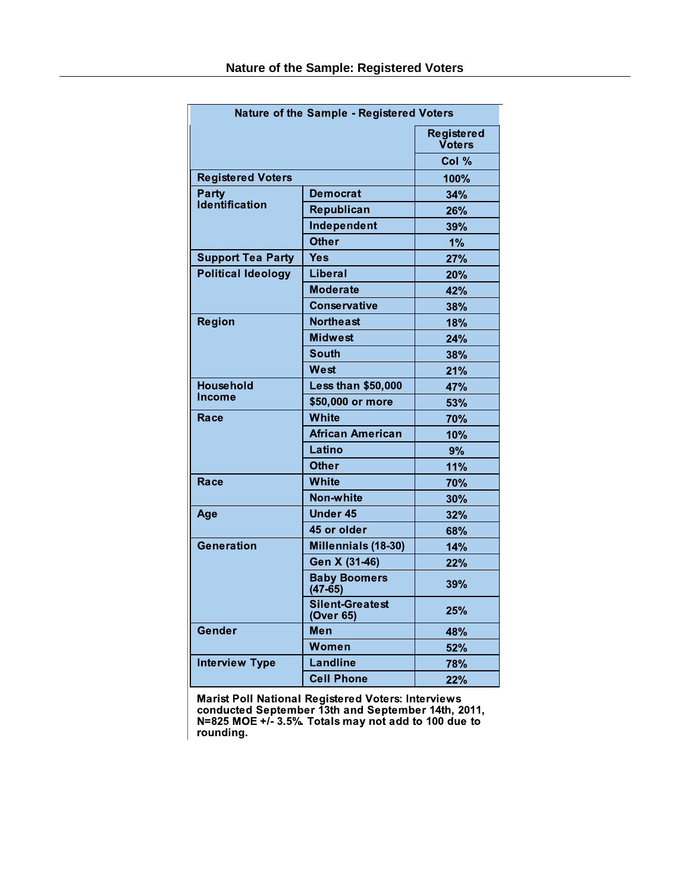| Nature of the Sample - Registered Voters |                                     |                      |  |  |
|------------------------------------------|-------------------------------------|----------------------|--|--|
|                                          |                                     | Registered<br>Voters |  |  |
|                                          | Col %                               |                      |  |  |
| <b>Registered Voters</b>                 | 100%                                |                      |  |  |
| Party<br>Identification                  | <b>Democrat</b>                     | 34%                  |  |  |
|                                          | Republican                          | 26%                  |  |  |
|                                          | Independent                         | 39%                  |  |  |
|                                          | <b>Other</b>                        | 1%                   |  |  |
| <b>Support Tea Party</b>                 | Yes                                 | 27%                  |  |  |
| <b>Political Ideology</b>                | Liberal                             | 20%                  |  |  |
|                                          | <b>Moderate</b>                     | 42%                  |  |  |
|                                          | <b>Conservative</b>                 | 38%                  |  |  |
| <b>Region</b>                            | <b>Northeast</b>                    | 18%                  |  |  |
|                                          | <b>Midwest</b>                      | 24%                  |  |  |
|                                          | <b>South</b>                        | 38%                  |  |  |
|                                          | West                                | 21%                  |  |  |
| <b>Household</b>                         | <b>Less than \$50,000</b>           | 47%                  |  |  |
| <b>Income</b>                            | \$50,000 or more                    | 53%                  |  |  |
| Race                                     | White                               | 70%                  |  |  |
|                                          | <b>African American</b>             | 10%                  |  |  |
|                                          | Latino                              | 9%                   |  |  |
|                                          | <b>Other</b>                        | 11%                  |  |  |
| Race                                     | White                               | 70%                  |  |  |
|                                          | Non-white                           | 30%                  |  |  |
| Age                                      | <b>Under 45</b>                     | 32%                  |  |  |
|                                          | 45 or older                         | <b>68%</b>           |  |  |
| Generation                               | Millennials (18-30)                 | 14%                  |  |  |
|                                          | Gen X (31-46)                       | 22%                  |  |  |
|                                          | <b>Baby Boomers</b><br>$(47 - 65)$  | 39%                  |  |  |
|                                          | <b>Silent-Greatest</b><br>(Over 65) | 25%                  |  |  |
| Gender                                   | Men                                 | 48%                  |  |  |
|                                          | Women                               | 52%                  |  |  |
| <b>Interview Type</b>                    | Landline                            | 78%                  |  |  |
|                                          | <b>Cell Phone</b>                   | 22%                  |  |  |

Marist Poll National Registered Voters: Interviews<br>conducted September 13th and September 14th, 2011,<br>N=825 MOE +/- 3.5%. Totals may not add to 100 due to<br>rounding.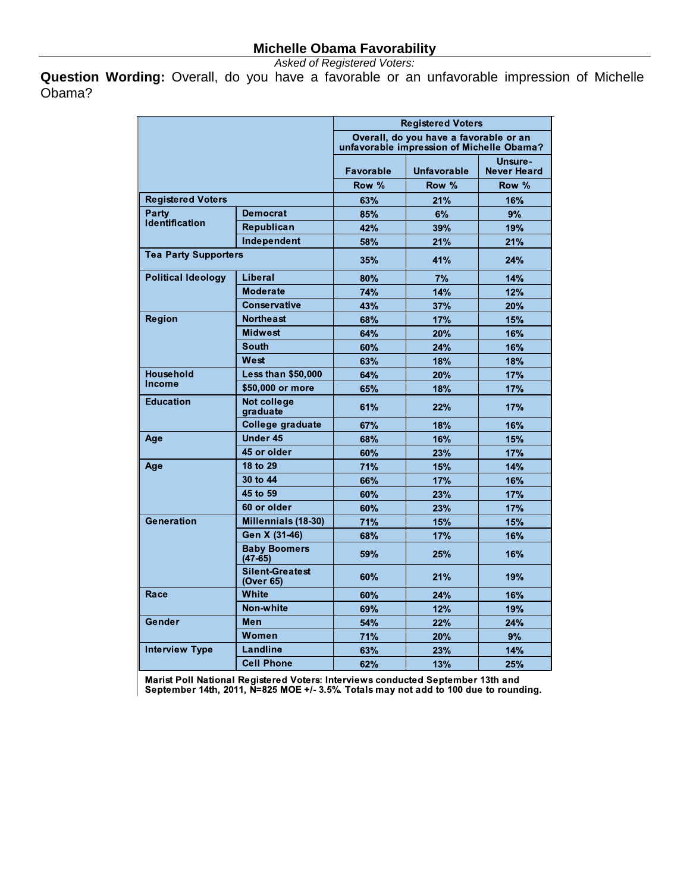*Asked of Registered Voters:*

**Question Wording:** Overall, do you have a favorable or an unfavorable impression of Michelle Obama?

|                             |                                     | <b>Registered Voters</b>                                                            |             |                               |
|-----------------------------|-------------------------------------|-------------------------------------------------------------------------------------|-------------|-------------------------------|
|                             |                                     | Overall, do you have a favorable or an<br>unfavorable impression of Michelle Obama? |             |                               |
|                             |                                     | Favorable                                                                           | Unfavorable | Unsure-<br><b>Never Heard</b> |
|                             |                                     | Row %                                                                               | Row %       | Row %                         |
| <b>Registered Voters</b>    |                                     | 63%                                                                                 | 21%         | 16%                           |
| Party                       | <b>Democrat</b>                     | 85%                                                                                 | 6%          | 9%                            |
| Identification              | Republican                          | 42%                                                                                 | 39%         | 19%                           |
|                             | Independent                         | 58%                                                                                 | 21%         | 21%                           |
| <b>Tea Party Supporters</b> |                                     | 35%                                                                                 | 41%         | 24%                           |
| <b>Political Ideology</b>   | Liberal                             | 80%                                                                                 | 7%          | 14%                           |
|                             | <b>Moderate</b>                     | 74%                                                                                 | 14%         | 12%                           |
|                             | <b>Conservative</b>                 | 43%                                                                                 | 37%         | 20%                           |
| Region                      | <b>Northeast</b>                    | 68%                                                                                 | 17%         | 15%                           |
|                             | <b>Midwest</b>                      | 64%                                                                                 | 20%         | 16%                           |
|                             | <b>South</b>                        | 60%                                                                                 | 24%         | 16%                           |
|                             | West                                | 63%                                                                                 | 18%         | 18%                           |
| <b>Household</b>            | <b>Less than \$50,000</b>           | 64%                                                                                 | 20%         | 17%                           |
| Income                      | \$50,000 or more                    | 65%                                                                                 | 18%         | 17%                           |
| <b>Education</b>            | Not college<br>graduate             | 61%                                                                                 | 22%         | 17%                           |
|                             | College graduate                    | 67%                                                                                 | 18%         | 16%                           |
| Age                         | Under 45                            | 68%                                                                                 | 16%         | 15%                           |
|                             | 45 or older                         | 60%                                                                                 | 23%         | 17%                           |
| Age                         | 18 to 29                            | 71%                                                                                 | 15%         | 14%                           |
|                             | 30 to 44                            | 66%                                                                                 | 17%         | 16%                           |
|                             | 45 to 59                            | 60%                                                                                 | 23%         | 17%                           |
|                             | 60 or older                         | 60%                                                                                 | 23%         | 17%                           |
| Generation                  | Millennials (18-30)                 | 71%                                                                                 | 15%         | 15%                           |
|                             | Gen X (31-46)                       | 68%                                                                                 | <b>17%</b>  | 16%                           |
|                             | <b>Baby Boomers</b><br>$(47-65)$    | 59%                                                                                 | 25%         | 16%                           |
|                             | <b>Silent-Greatest</b><br>(Over 65) | 60%                                                                                 | 21%         | 19%                           |
| Race                        | White                               | 60%                                                                                 | 24%         | 16%                           |
|                             | Non-white                           | 69%                                                                                 | 12%         | 19%                           |
| Gender                      | Men                                 | 54%                                                                                 | 22%         | 24%                           |
|                             | Women                               | 71%                                                                                 | 20%         | 9%                            |
| <b>Interview Type</b>       | <b>Landline</b>                     | 63%                                                                                 | 23%         | 14%                           |
|                             | <b>Cell Phone</b>                   | 62%                                                                                 | 13%         | 25%                           |

Marist Poll National Registered Voters: Interviews conducted September 13th and<br>September 14th, 2011, N=825 MOE +/- 3.5%. Totals may not add to 100 due to rounding.